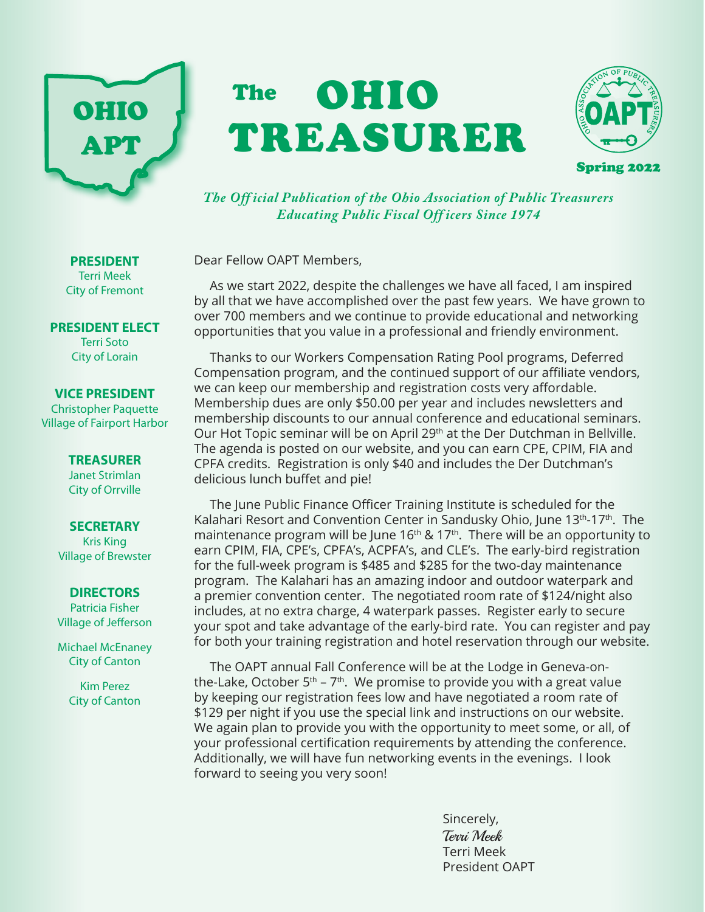# OHIO APT

# OHIO TREASURER The



*The Off icial Publication of the Ohio Association of Public Treasurers Educating Public Fiscal Off icers Since 1974*

Dear Fellow OAPT Members,

As we start 2022, despite the challenges we have all faced, I am inspired by all that we have accomplished over the past few years. We have grown to over 700 members and we continue to provide educational and networking opportunities that you value in a professional and friendly environment.

Thanks to our Workers Compensation Rating Pool programs, Deferred Compensation program, and the continued support of our affiliate vendors, we can keep our membership and registration costs very affordable. Membership dues are only \$50.00 per year and includes newsletters and membership discounts to our annual conference and educational seminars. Our Hot Topic seminar will be on April 29<sup>th</sup> at the Der Dutchman in Bellville. The agenda is posted on our website, and you can earn CPE, CPIM, FIA and CPFA credits. Registration is only \$40 and includes the Der Dutchman's delicious lunch buffet and pie!

The June Public Finance Officer Training Institute is scheduled for the Kalahari Resort and Convention Center in Sandusky Ohio, June 13<sup>th</sup>-17<sup>th</sup>. The maintenance program will be June  $16<sup>th</sup>$  &  $17<sup>th</sup>$ . There will be an opportunity to earn CPIM, FIA, CPE's, CPFA's, ACPFA's, and CLE's. The early-bird registration for the full-week program is \$485 and \$285 for the two-day maintenance program. The Kalahari has an amazing indoor and outdoor waterpark and a premier convention center. The negotiated room rate of \$124/night also includes, at no extra charge, 4 waterpark passes. Register early to secure your spot and take advantage of the early-bird rate. You can register and pay for both your training registration and hotel reservation through our website.

The OAPT annual Fall Conference will be at the Lodge in Geneva-onthe-Lake, October  $5<sup>th</sup> - 7<sup>th</sup>$ . We promise to provide you with a great value by keeping our registration fees low and have negotiated a room rate of \$129 per night if you use the special link and instructions on our website. We again plan to provide you with the opportunity to meet some, or all, of your professional certification requirements by attending the conference. Additionally, we will have fun networking events in the evenings. I look forward to seeing you very soon!

> Sincerely, Terri Meek Terri Meek President OAPT

Terri Meek City of Fremont

**PRESIDENT**

**PRESIDENT ELECT** Terri Soto City of Lorain

#### **VICE PRESIDENT**

Christopher Paquette Village of Fairport Harbor

> **TREASURER** Janet Strimlan City of Orrville

#### **SECRETARY**

Kris King Village of Brewster

#### **DIRECTORS**

Patricia Fisher Village of Jefferson

Michael McEnaney City of Canton

> Kim Perez City of Canton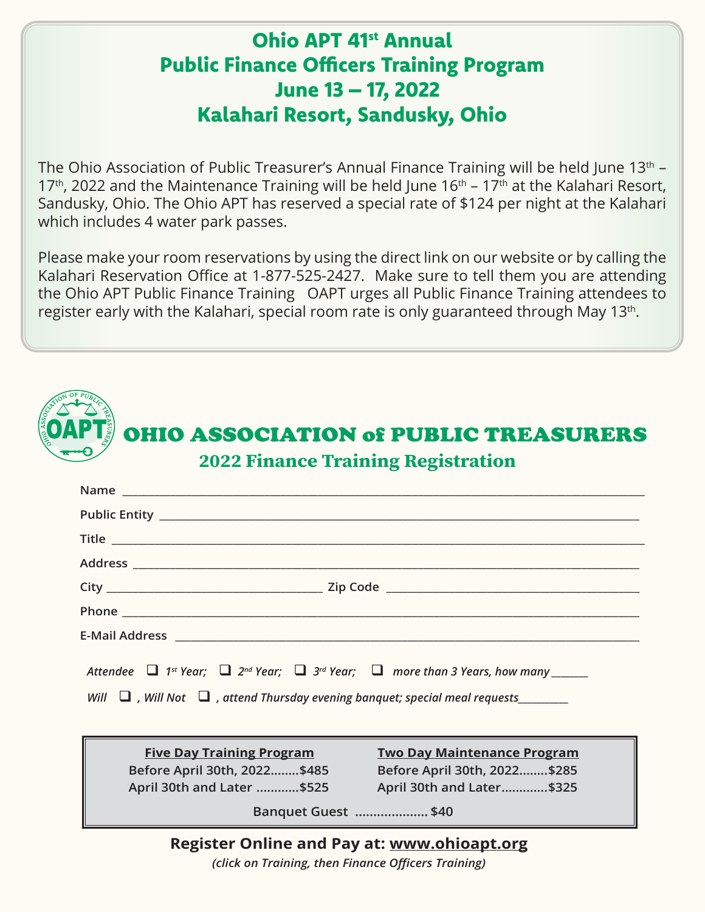# Ohio APT 41st Annual Public Finance Officers Training Program June 13 – 17, 2022 Kalahari Resort, Sandusky, Ohio

The Ohio Association of Public Treasurer's Annual Finance Training will be held June 13<sup>th</sup> – 17<sup>th</sup>, 2022 and the Maintenance Training will be held June  $16<sup>th</sup>$  – 17<sup>th</sup> at the Kalahari Resort, Sandusky, Ohio. The Ohio APT has reserved a special rate of \$124 per night at the Kalahari which includes 4 water park passes.

Please make your room reservations by using the direct link on our website or by calling the Kalahari Reservation Office at 1-877-525-2427. Make sure to tell them you are attending the Ohio APT Public Finance Training OAPT urges all Public Finance Training attendees to register early with the Kalahari, special room rate is only guaranteed through May 13 $^{\rm th}$ .

| <b>2022 Finance Training Registration</b><br>Name and the contract of the contract of the contract of the contract of the contract of the contract of the contract of the contract of the contract of the contract of the contract of the contract of the contract of the c |  |
|-----------------------------------------------------------------------------------------------------------------------------------------------------------------------------------------------------------------------------------------------------------------------------|--|
|                                                                                                                                                                                                                                                                             |  |
| Title <u>the community of the community of the community of the community of the community of the community of the community of the community of the community of the community of the community of the community of the communi</u>                                        |  |
|                                                                                                                                                                                                                                                                             |  |
|                                                                                                                                                                                                                                                                             |  |
|                                                                                                                                                                                                                                                                             |  |
| E-Mail Address <b>E-Mail Address</b>                                                                                                                                                                                                                                        |  |

| <b>Five Day Training Program</b> | <b>Two Day Maintenance Program</b> |
|----------------------------------|------------------------------------|
| Before April 30th, 2022 \$485    | Before April 30th, 2022 \$285      |
| April 30th and Later \$525       | April 30th and Later\$325          |
| Banquet Guest \$40               |                                    |

# **Register Online and Pay at: www.ohioapt.org**

*(click on Training, then Finance Officers Training)*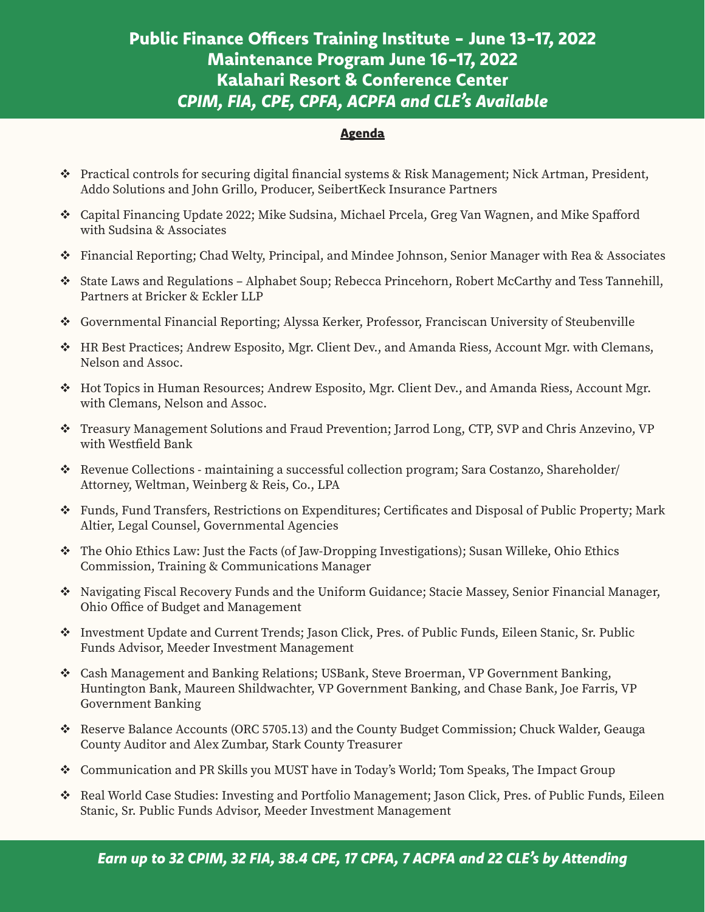## Public Finance Officers Training Institute - June 13-17, 2022 Maintenance Program June 16-17, 2022 Kalahari Resort & Conference Center *CPIM, FIA, CPE, CPFA, ACPFA and CLE's Available*

#### **Agenda**

j

- Practical controls for securing digital financial systems & Risk Management; Nick Artman, President, Addo Solutions and John Grillo, Producer, SeibertKeck Insurance Partners
- Capital Financing Update 2022; Mike Sudsina, Michael Prcela, Greg Van Wagnen, and Mike Spafford with Sudsina & Associates
- Financial Reporting; Chad Welty, Principal, and Mindee Johnson, Senior Manager with Rea & Associates
- State Laws and Regulations Alphabet Soup; Rebecca Princehorn, Robert McCarthy and Tess Tannehill, Partners at Bricker & Eckler LLP
- Governmental Financial Reporting; Alyssa Kerker, Professor, Franciscan University of Steubenville
- HR Best Practices; Andrew Esposito, Mgr. Client Dev., and Amanda Riess, Account Mgr. with Clemans, Nelson and Assoc.
- Hot Topics in Human Resources; Andrew Esposito, Mgr. Client Dev., and Amanda Riess, Account Mgr. with Clemans, Nelson and Assoc.
- Treasury Management Solutions and Fraud Prevention; Jarrod Long, CTP, SVP and Chris Anzevino, VP with Westfield Bank
- \* Revenue Collections maintaining a successful collection program; Sara Costanzo, Shareholder/ Attorney, Weltman, Weinberg & Reis, Co., LPA
- Funds, Fund Transfers, Restrictions on Expenditures; Certificates and Disposal of Public Property; Mark Altier, Legal Counsel, Governmental Agencies
- The Ohio Ethics Law: Just the Facts (of Jaw-Dropping Investigations); Susan Willeke, Ohio Ethics Commission, Training & Communications Manager
- Navigating Fiscal Recovery Funds and the Uniform Guidance; Stacie Massey, Senior Financial Manager, Ohio Office of Budget and Management
- Investment Update and Current Trends; Jason Click, Pres. of Public Funds, Eileen Stanic, Sr. Public Funds Advisor, Meeder Investment Management
- Cash Management and Banking Relations; USBank, Steve Broerman, VP Government Banking, Huntington Bank, Maureen Shildwachter, VP Government Banking, and Chase Bank, Joe Farris, VP Government Banking
- Reserve Balance Accounts (ORC 5705.13) and the County Budget Commission; Chuck Walder, Geauga County Auditor and Alex Zumbar, Stark County Treasurer
- Communication and PR Skills you MUST have in Today's World; Tom Speaks, The Impact Group
- \* Real World Case Studies: Investing and Portfolio Management; Jason Click, Pres. of Public Funds, Eileen Stanic, Sr. Public Funds Advisor, Meeder Investment Management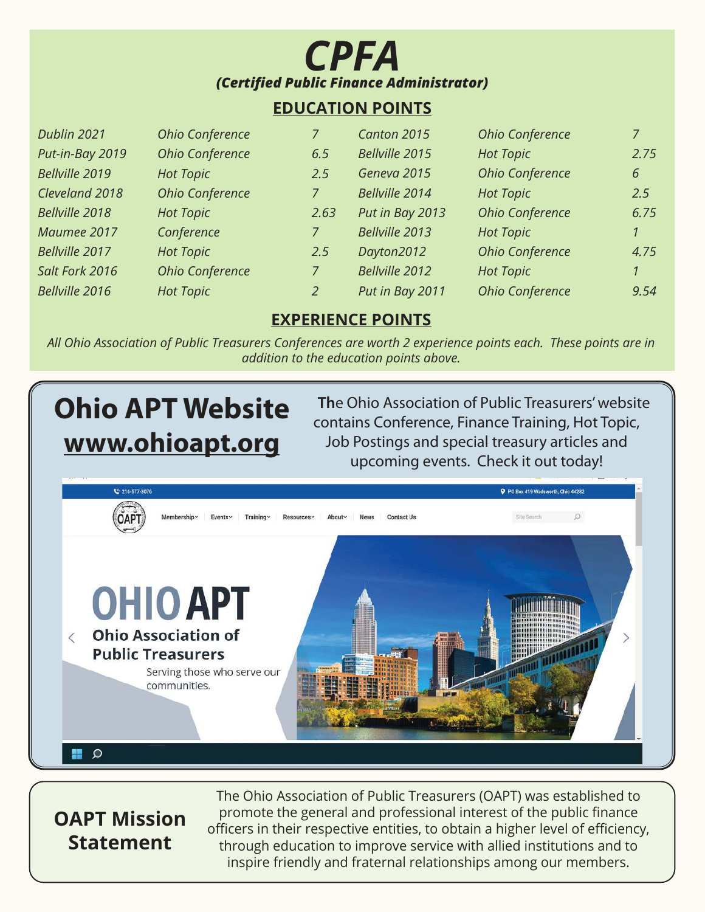

#### **EDUCATION POINTS**

| Dublin 2021     | Ohio Conference  |      | Canton 2015     | Ohio Conference        | $\overline{7}$ |
|-----------------|------------------|------|-----------------|------------------------|----------------|
| Put-in-Bay 2019 | Ohio Conference  | 6.5  | Bellville 2015  | <b>Hot Topic</b>       | 2.75           |
| Bellville 2019  | <b>Hot Topic</b> | 2.5  | Geneva 2015     | <b>Ohio Conference</b> | 6              |
| Cleveland 2018  | Ohio Conference  |      | Bellville 2014  | <b>Hot Topic</b>       | 2.5            |
| Bellville 2018  | <b>Hot Topic</b> | 2.63 | Put in Bay 2013 | Ohio Conference        | 6.75           |
| Maumee 2017     | Conference       |      | Bellville 2013  | <b>Hot Topic</b>       | $\mathcal{I}$  |
| Bellville 2017  | <b>Hot Topic</b> | 2.5  | Dayton2012      | Ohio Conference        | 4.75           |
| Salt Fork 2016  | Ohio Conference  | 7    | Bellville 2012  | <b>Hot Topic</b>       | $\mathcal{I}$  |
| Bellville 2016  | <b>Hot Topic</b> | 2    | Put in Bay 2011 | Ohio Conference        | 9.54           |

#### **EXPERIENCE POINTS**

*All Ohio Association of Public Treasurers Conferences are worth 2 experience points each. These points are in addition to the education points above.*

# **Ohio APT Website www.ohioapt.org**

 **Th**e Ohio Association of Public Treasurers' website contains Conference, Finance Training, Hot Topic, Job Postings and special treasury articles and upcoming events. Check it out today!



# **OAPT Mission Statement**

The Ohio Association of Public Treasurers (OAPT) was established to promote the general and professional interest of the public finance officers in their respective entities, to obtain a higher level of efficiency, through education to improve service with allied institutions and to inspire friendly and fraternal relationships among our members.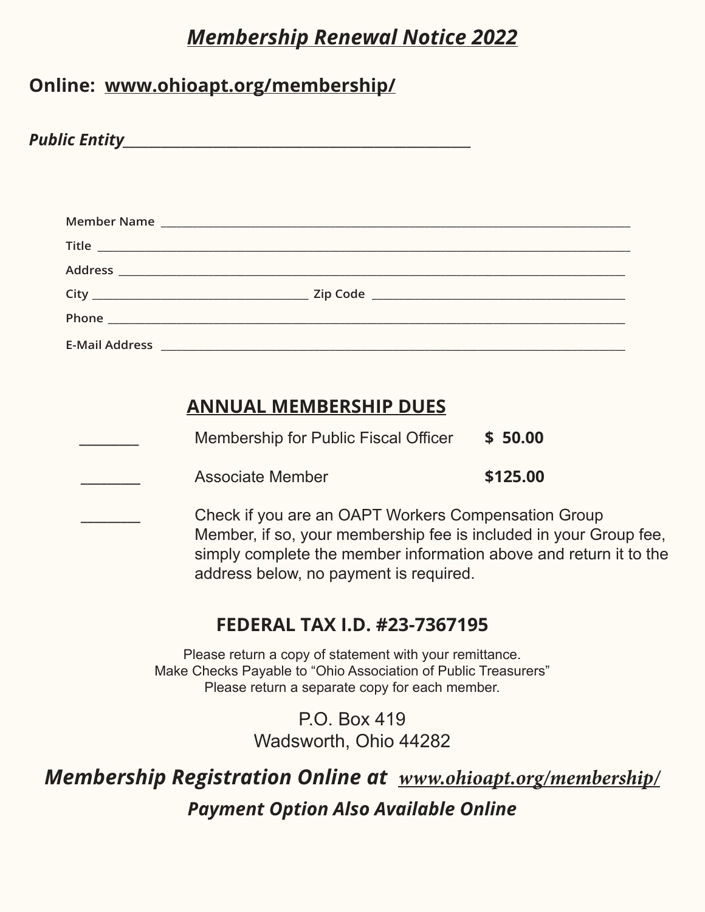# *Membership Renewal Notice 2022*

# **Online: www.ohioapt.org/membership/**

*Public Entity* 

|                       | Member Name                                                                                                                                                                                                                          |  |
|-----------------------|--------------------------------------------------------------------------------------------------------------------------------------------------------------------------------------------------------------------------------------|--|
|                       | Title <u>the community of the community of the community of the community of the community of the community of the community of the community of the community of the community of the community of the community of the communi</u> |  |
|                       |                                                                                                                                                                                                                                      |  |
|                       |                                                                                                                                                                                                                                      |  |
|                       | Phone and the contract of the contract of the contract of the contract of the contract of the contract of the                                                                                                                        |  |
| <b>E-Mail Address</b> | <u> 1989 - Andrea Stadt Britain, amerikansk politiker (d. 1989)</u>                                                                                                                                                                  |  |

# **ANNUAL MEMBERSHIP DUES**

| Membership for Public Fiscal Officer | \$50.00 |
|--------------------------------------|---------|
|                                      |         |

**\_\_\_\_\_\_\_\_\_** Associate Member **\$125.00**

**\_\_\_\_\_\_\_\_\_** Check if you are an OAPT Workers Compensation Group Member, if so, your membership fee is included in your Group fee, simply complete the member information above and return it to the address below, no payment is required.

# **FEDERAL TAX I.D. #23-7367195**

Please return a copy of statement with your remittance. Make Checks Payable to "Ohio Association of Public Treasurers" Please return a separate copy for each member.

> P.O. Box 419 Wadsworth, Ohio 44282

*Membership Registration Online at* **www.ohioapt.org/membership/** *Payment Option Also Available Online*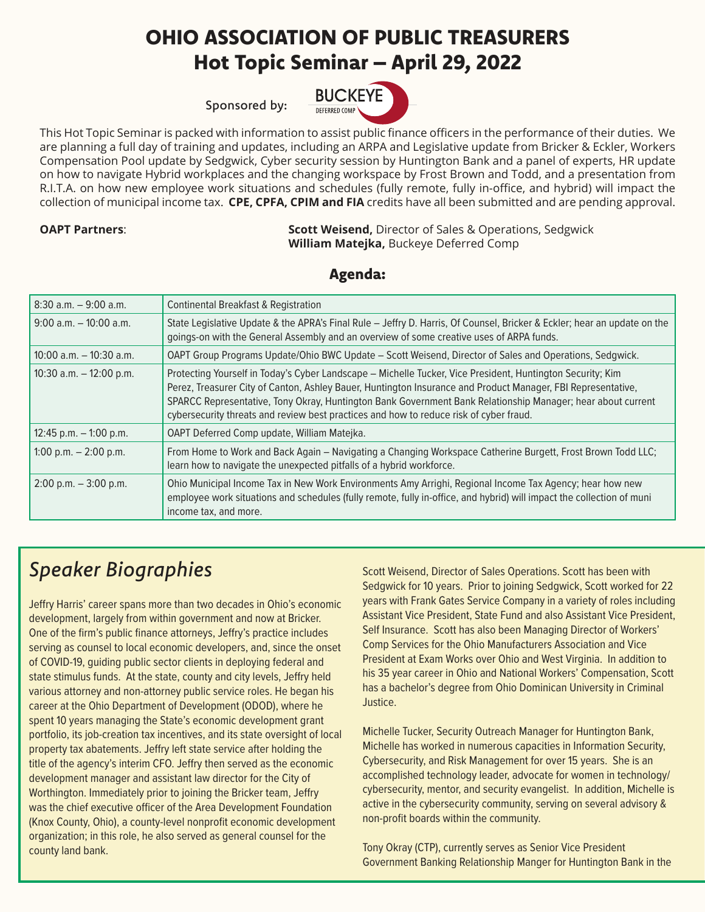# OHIO ASSOCIATION OF PUBLIC TREASURERS Hot Topic Seminar – April 29, 2022

Sponsored by:



This Hot Topic Seminar is packed with information to assist public finance officers in the performance of their duties. We are planning a full day of training and updates, including an ARPA and Legislative update from Bricker & Eckler, Workers Compensation Pool update by Sedgwick, Cyber security session by Huntington Bank and a panel of experts, HR update on how to navigate Hybrid workplaces and the changing workspace by Frost Brown and Todd, and a presentation from R.I.T.A. on how new employee work situations and schedules (fully remote, fully in-office, and hybrid) will impact the collection of municipal income tax. **CPE, CPFA, CPIM and FIA** credits have all been submitted and are pending approval.

**OAPT Partners: Scott Weisend, Director of Sales & Operations, Sedgwick Sequend, Director of Sales & Operations, Sedgwick William Matejka,** Buckeye Deferred Comp

Agenda:

| $8:30$ a.m. $-9:00$ a.m.   | Continental Breakfast & Registration                                                                                                                                                                                                                                                                                                                                                                                                |
|----------------------------|-------------------------------------------------------------------------------------------------------------------------------------------------------------------------------------------------------------------------------------------------------------------------------------------------------------------------------------------------------------------------------------------------------------------------------------|
| $9:00$ a.m. $-10:00$ a.m.  | State Legislative Update & the APRA's Final Rule - Jeffry D. Harris, Of Counsel, Bricker & Eckler; hear an update on the<br>goings-on with the General Assembly and an overview of some creative uses of ARPA funds.                                                                                                                                                                                                                |
| $10:00$ a.m. $-10:30$ a.m. | OAPT Group Programs Update/Ohio BWC Update - Scott Weisend, Director of Sales and Operations, Sedgwick.                                                                                                                                                                                                                                                                                                                             |
| 10:30 a.m. $-$ 12:00 p.m.  | Protecting Yourself in Today's Cyber Landscape - Michelle Tucker, Vice President, Huntington Security; Kim<br>Perez, Treasurer City of Canton, Ashley Bauer, Huntington Insurance and Product Manager, FBI Representative,<br>SPARCC Representative, Tony Okray, Huntington Bank Government Bank Relationship Manager; hear about current<br>cybersecurity threats and review best practices and how to reduce risk of cyber fraud. |
| 12:45 p.m. $-$ 1:00 p.m.   | OAPT Deferred Comp update, William Matejka.                                                                                                                                                                                                                                                                                                                                                                                         |
| 1:00 p.m. $-$ 2:00 p.m.    | From Home to Work and Back Again - Navigating a Changing Workspace Catherine Burgett, Frost Brown Todd LLC;<br>learn how to navigate the unexpected pitfalls of a hybrid workforce.                                                                                                                                                                                                                                                 |
| $2:00$ p.m. $-3:00$ p.m.   | Ohio Municipal Income Tax in New Work Environments Amy Arrighi, Regional Income Tax Agency; hear how new<br>employee work situations and schedules (fully remote, fully in-office, and hybrid) will impact the collection of muni<br>income tax, and more.                                                                                                                                                                          |

# *Speaker Biographies*

Jeffry Harris' career spans more than two decades in Ohio's economic development, largely from within government and now at Bricker. One of the firm's public finance attorneys, Jeffry's practice includes serving as counsel to local economic developers, and, since the onset of COVID-19, guiding public sector clients in deploying federal and state stimulus funds. At the state, county and city levels, Jeffry held various attorney and non-attorney public service roles. He began his career at the Ohio Department of Development (ODOD), where he spent 10 years managing the State's economic development grant portfolio, its job-creation tax incentives, and its state oversight of local property tax abatements. Jeffry left state service after holding the title of the agency's interim CFO. Jeffry then served as the economic development manager and assistant law director for the City of Worthington. Immediately prior to joining the Bricker team, Jeffry was the chief executive officer of the Area Development Foundation (Knox County, Ohio), a county-level nonprofit economic development organization; in this role, he also served as general counsel for the county land bank.

Scott Weisend, Director of Sales Operations. Scott has been with Sedgwick for 10 years. Prior to joining Sedgwick, Scott worked for 22 years with Frank Gates Service Company in a variety of roles including Assistant Vice President, State Fund and also Assistant Vice President, Self Insurance. Scott has also been Managing Director of Workers' Comp Services for the Ohio Manufacturers Association and Vice President at Exam Works over Ohio and West Virginia. In addition to his 35 year career in Ohio and National Workers' Compensation, Scott has a bachelor's degree from Ohio Dominican University in Criminal Justice.

Michelle Tucker, Security Outreach Manager for Huntington Bank, Michelle has worked in numerous capacities in Information Security, Cybersecurity, and Risk Management for over 15 years. She is an accomplished technology leader, advocate for women in technology/ cybersecurity, mentor, and security evangelist. In addition, Michelle is active in the cybersecurity community, serving on several advisory & non-profit boards within the community.

Tony Okray (CTP), currently serves as Senior Vice President Government Banking Relationship Manger for Huntington Bank in the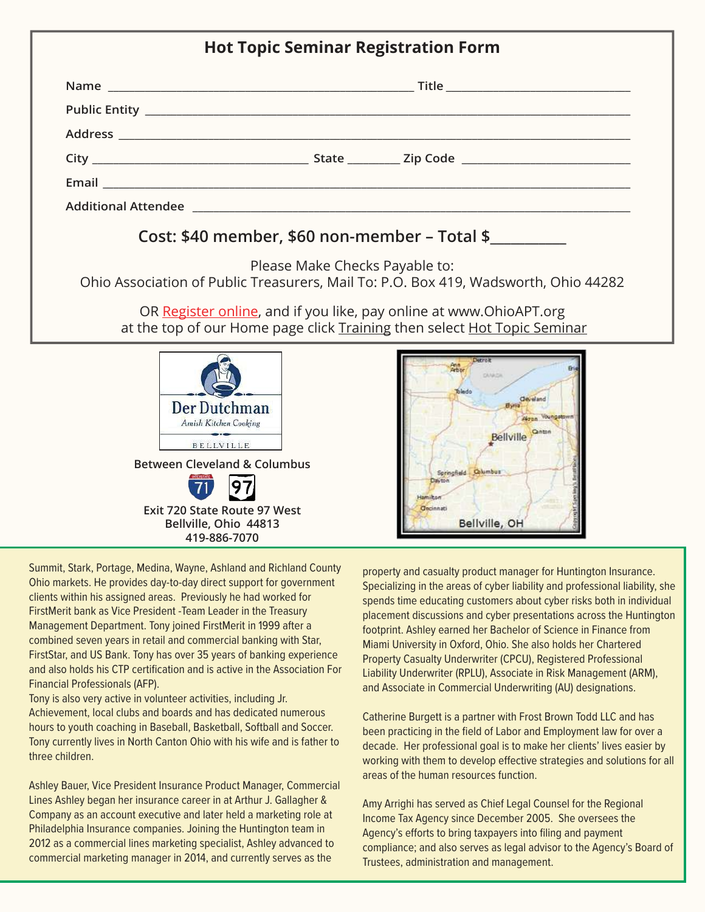| <b>Hot Topic Seminar Registration Form</b> |                                                                                                                                                |
|--------------------------------------------|------------------------------------------------------------------------------------------------------------------------------------------------|
|                                            |                                                                                                                                                |
|                                            |                                                                                                                                                |
|                                            |                                                                                                                                                |
|                                            |                                                                                                                                                |
|                                            |                                                                                                                                                |
|                                            |                                                                                                                                                |
|                                            | Cost: \$40 member, \$60 non-member – Total \$                                                                                                  |
|                                            | Please Make Checks Payable to:<br>Ohio Association of Public Treasurers, Mail To: P.O. Box 419, Wadsworth, Ohio 44282                          |
|                                            | OR Register online, and if you like, pay online at www.OhioAPT.org<br>at the top of our Home page click Training then select Hot Topic Seminar |
|                                            |                                                                                                                                                |

Summit, Stark, Portage, Medina, Wayne, Ashland and Richland County Ohio markets. He provides day-to-day direct support for government clients within his assigned areas. Previously he had worked for FirstMerit bank as Vice President -Team Leader in the Treasury Management Department. Tony joined FirstMerit in 1999 after a combined seven years in retail and commercial banking with Star, FirstStar, and US Bank. Tony has over 35 years of banking experience and also holds his CTP certification and is active in the Association For Financial Professionals (AFP).

**Between Cleveland & Columbus**

BELLVILLE

Der Dutchman Amish Kitchen Cooking

**Exit 720 State Route 97 West Bellville, Ohio 44813 419-886-7070**

97

Tony is also very active in volunteer activities, including Jr. Achievement, local clubs and boards and has dedicated numerous hours to youth coaching in Baseball, Basketball, Softball and Soccer. Tony currently lives in North Canton Ohio with his wife and is father to three children.

Ashley Bauer, Vice President Insurance Product Manager, Commercial Lines Ashley began her insurance career in at Arthur J. Gallagher & Company as an account executive and later held a marketing role at Philadelphia Insurance companies. Joining the Huntington team in 2012 as a commercial lines marketing specialist, Ashley advanced to commercial marketing manager in 2014, and currently serves as the

property and casualty product manager for Huntington Insurance. Specializing in the areas of cyber liability and professional liability, she spends time educating customers about cyber risks both in individual placement discussions and cyber presentations across the Huntington footprint. Ashley earned her Bachelor of Science in Finance from Miami University in Oxford, Ohio. She also holds her Chartered Property Casualty Underwriter (CPCU), Registered Professional Liability Underwriter (RPLU), Associate in Risk Management (ARM), and Associate in Commercial Underwriting (AU) designations.

**Cleveland** 

**Bellville** 

Springfield Columbus

Bellville, OH

**Gecinnati** 

Catherine Burgett is a partner with Frost Brown Todd LLC and has been practicing in the field of Labor and Employment law for over a decade. Her professional goal is to make her clients' lives easier by working with them to develop effective strategies and solutions for all areas of the human resources function.

Amy Arrighi has served as Chief Legal Counsel for the Regional Income Tax Agency since December 2005. She oversees the Agency's efforts to bring taxpayers into filing and payment compliance; and also serves as legal advisor to the Agency's Board of Trustees, administration and management.